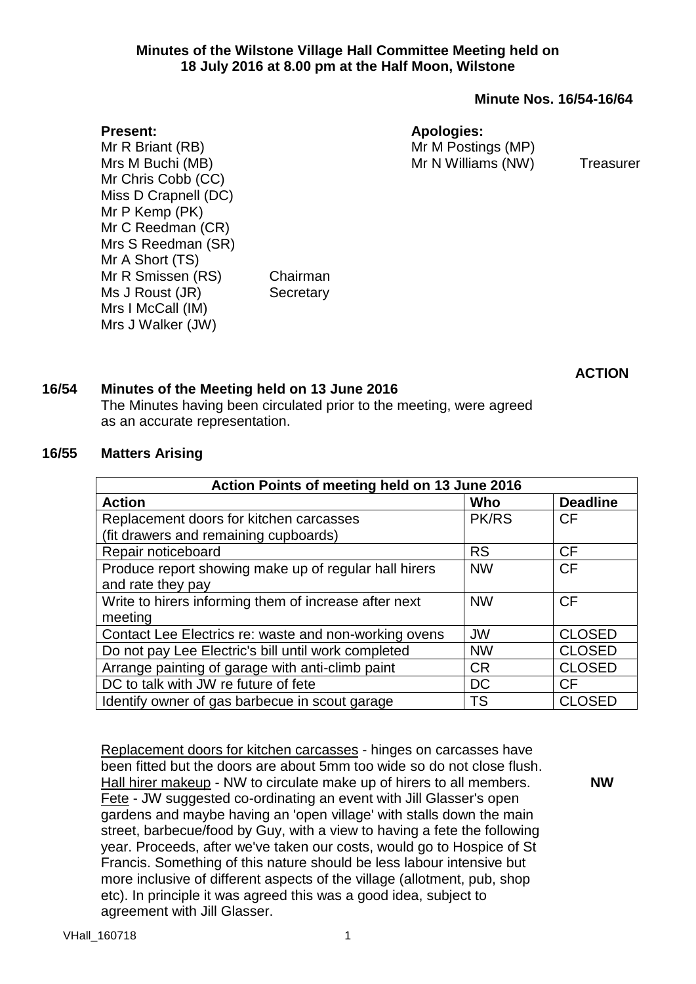## **Minutes of the Wilstone Village Hall Committee Meeting held on 18 July 2016 at 8.00 pm at the Half Moon, Wilstone**

**Minute Nos. 16/54-16/64**

### **Apologies:**

Mr M Postings (MP) Mr N Williams (NW) Treasurer

**Present:** Mr R Briant (RB) Mrs M Buchi (MB) Mr Chris Cobb (CC) Miss D Crapnell (DC) Mr P Kemp (PK) Mr C Reedman (CR) Mrs S Reedman (SR) Mr A Short (TS) Mr R Smissen (RS) Chairman Ms J Roust (JR) Secretary Mrs I McCall (IM) Mrs J Walker (JW)

**ACTION**

# **16/54 Minutes of the Meeting held on 13 June 2016**

The Minutes having been circulated prior to the meeting, were agreed as an accurate representation.

## **16/55 Matters Arising**

| Action Points of meeting held on 13 June 2016         |              |                 |  |  |
|-------------------------------------------------------|--------------|-----------------|--|--|
| <b>Action</b>                                         | Who          | <b>Deadline</b> |  |  |
| Replacement doors for kitchen carcasses               | <b>PK/RS</b> | CF              |  |  |
| (fit drawers and remaining cupboards)                 |              |                 |  |  |
| Repair noticeboard                                    | <b>RS</b>    | CF              |  |  |
| Produce report showing make up of regular hall hirers | <b>NW</b>    | <b>CF</b>       |  |  |
| and rate they pay                                     |              |                 |  |  |
| Write to hirers informing them of increase after next | <b>NW</b>    | <b>CF</b>       |  |  |
| meeting                                               |              |                 |  |  |
| Contact Lee Electrics re: waste and non-working ovens | <b>JW</b>    | <b>CLOSED</b>   |  |  |
| Do not pay Lee Electric's bill until work completed   | <b>NW</b>    | <b>CLOSED</b>   |  |  |
| Arrange painting of garage with anti-climb paint      | <b>CR</b>    | <b>CLOSED</b>   |  |  |
| DC to talk with JW re future of fete                  | <b>DC</b>    | CF              |  |  |
| Identify owner of gas barbecue in scout garage        | <b>TS</b>    | <b>CLOSED</b>   |  |  |

Replacement doors for kitchen carcasses - hinges on carcasses have been fitted but the doors are about 5mm too wide so do not close flush. Hall hirer makeup - NW to circulate make up of hirers to all members. Fete - JW suggested co-ordinating an event with Jill Glasser's open gardens and maybe having an 'open village' with stalls down the main street, barbecue/food by Guy, with a view to having a fete the following year. Proceeds, after we've taken our costs, would go to Hospice of St Francis. Something of this nature should be less labour intensive but more inclusive of different aspects of the village (allotment, pub, shop etc). In principle it was agreed this was a good idea, subject to agreement with Jill Glasser.

**NW**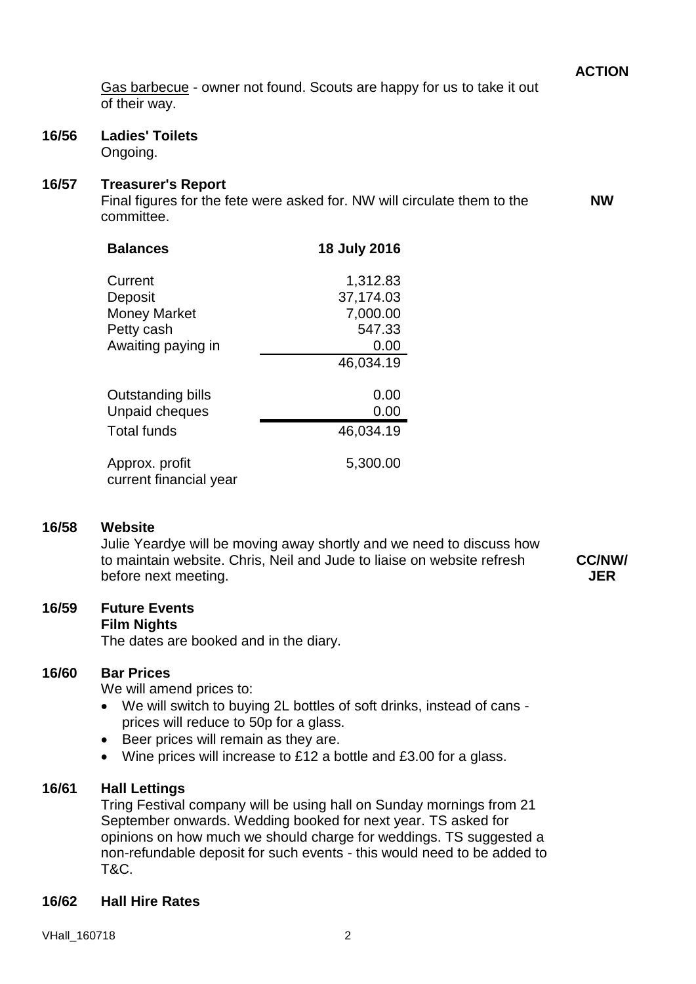**ACTION**

**NW**

Gas barbecue - owner not found. Scouts are happy for us to take it out of their way.

# **16/56 Ladies' Toilets**

Ongoing.

## **16/57 Treasurer's Report**

Final figures for the fete were asked for. NW will circulate them to the committee.

| <b>Balances</b>                          | 18 July 2016 |
|------------------------------------------|--------------|
| Current                                  | 1,312.83     |
| Deposit                                  | 37,174.03    |
| <b>Money Market</b>                      | 7,000.00     |
| Petty cash                               | 547.33       |
| Awaiting paying in                       | 0.00         |
|                                          | 46,034.19    |
| Outstanding bills                        | 0.00         |
| Unpaid cheques                           | 0.00         |
| <b>Total funds</b>                       | 46,034.19    |
| Approx. profit<br>current financial year | 5,300.00     |

#### **16/58 Website**

Julie Yeardye will be moving away shortly and we need to discuss how to maintain website. Chris, Neil and Jude to liaise on website refresh before next meeting.

**CC/NW/ JER**

# **16/59 Future Events**

**Film Nights**

The dates are booked and in the diary.

## **16/60 Bar Prices**

We will amend prices to:

- We will switch to buying 2L bottles of soft drinks, instead of cans prices will reduce to 50p for a glass.
- Beer prices will remain as they are.
- Wine prices will increase to £12 a bottle and £3.00 for a glass.

# **16/61 Hall Lettings**

Tring Festival company will be using hall on Sunday mornings from 21 September onwards. Wedding booked for next year. TS asked for opinions on how much we should charge for weddings. TS suggested a non-refundable deposit for such events - this would need to be added to T&C.

## **16/62 Hall Hire Rates**